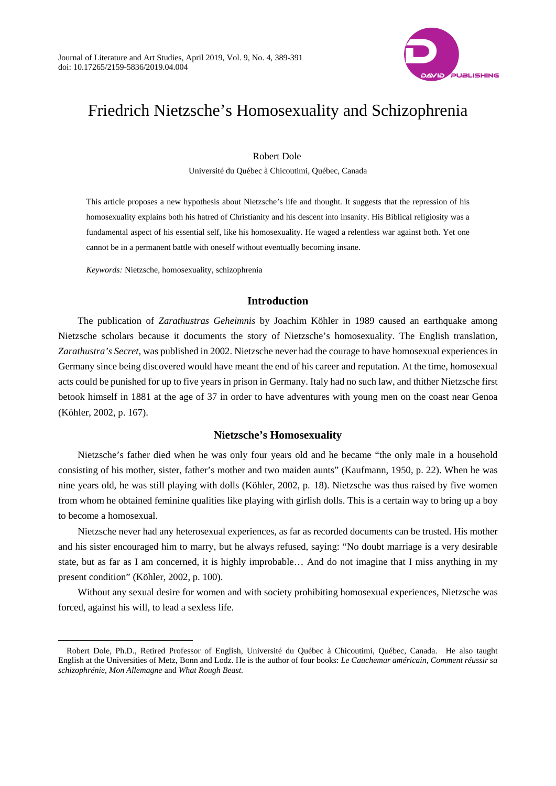

# Friedrich Nietzsche's Homosexuality and Schizophrenia

Robert Dole

Université du Québec à Chicoutimi, Québec, Canada

This article proposes a new hypothesis about Nietzsche's life and thought. It suggests that the repression of his homosexuality explains both his hatred of Christianity and his descent into insanity. His Biblical religiosity was a fundamental aspect of his essential self, like his homosexuality. He waged a relentless war against both. Yet one cannot be in a permanent battle with oneself without eventually becoming insane.

*Keywords:* Nietzsche, homosexuality, schizophrenia

 $\overline{a}$ 

## **Introduction**

The publication of *Zarathustras Geheimnis* by Joachim Köhler in 1989 caused an earthquake among Nietzsche scholars because it documents the story of Nietzsche's homosexuality. The English translation, *Zarathustra's Secret*, was published in 2002. Nietzsche never had the courage to have homosexual experiences in Germany since being discovered would have meant the end of his career and reputation. At the time, homosexual acts could be punished for up to five years in prison in Germany. Italy had no such law, and thither Nietzsche first betook himself in 1881 at the age of 37 in order to have adventures with young men on the coast near Genoa (Köhler, 2002, p. 167).

## **Nietzsche's Homosexuality**

Nietzsche's father died when he was only four years old and he became "the only male in a household consisting of his mother, sister, father's mother and two maiden aunts" (Kaufmann, 1950, p. 22). When he was nine years old, he was still playing with dolls (Köhler, 2002, p. 18). Nietzsche was thus raised by five women from whom he obtained feminine qualities like playing with girlish dolls. This is a certain way to bring up a boy to become a homosexual.

Nietzsche never had any heterosexual experiences, as far as recorded documents can be trusted. His mother and his sister encouraged him to marry, but he always refused, saying: "No doubt marriage is a very desirable state, but as far as I am concerned, it is highly improbable… And do not imagine that I miss anything in my present condition" (Köhler, 2002, p. 100).

Without any sexual desire for women and with society prohibiting homosexual experiences, Nietzsche was forced, against his will, to lead a sexless life.

Robert Dole, Ph.D., Retired Professor of English, Université du Québec à Chicoutimi, Québec, Canada. He also taught English at the Universities of Metz, Bonn and Lodz. He is the author of four books: *Le Cauchemar américain, Comment réussir sa schizophrénie, Mon Allemagne* and *What Rough Beast.*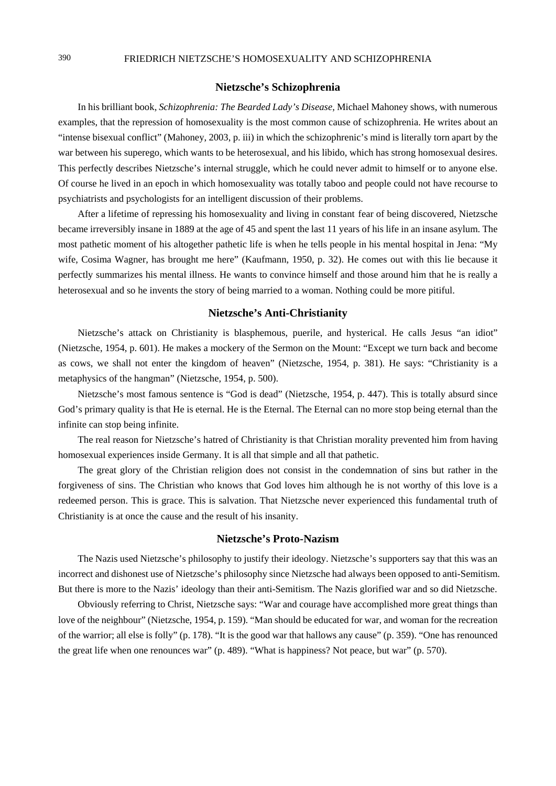### **Nietzsche's Schizophrenia**

In his brilliant book, *Schizophrenia: The Bearded Lady's Disease*, Michael Mahoney shows, with numerous examples, that the repression of homosexuality is the most common cause of schizophrenia. He writes about an "intense bisexual conflict" (Mahoney, 2003, p. iii) in which the schizophrenic's mind is literally torn apart by the war between his superego, which wants to be heterosexual, and his libido, which has strong homosexual desires. This perfectly describes Nietzsche's internal struggle, which he could never admit to himself or to anyone else. Of course he lived in an epoch in which homosexuality was totally taboo and people could not have recourse to psychiatrists and psychologists for an intelligent discussion of their problems.

After a lifetime of repressing his homosexuality and living in constant fear of being discovered, Nietzsche became irreversibly insane in 1889 at the age of 45 and spent the last 11 years of his life in an insane asylum. The most pathetic moment of his altogether pathetic life is when he tells people in his mental hospital in Jena: "My wife, Cosima Wagner, has brought me here" (Kaufmann, 1950, p. 32). He comes out with this lie because it perfectly summarizes his mental illness. He wants to convince himself and those around him that he is really a heterosexual and so he invents the story of being married to a woman. Nothing could be more pitiful.

#### **Nietzsche's Anti-Christianity**

Nietzsche's attack on Christianity is blasphemous, puerile, and hysterical. He calls Jesus "an idiot" (Nietzsche, 1954, p. 601). He makes a mockery of the Sermon on the Mount: "Except we turn back and become as cows, we shall not enter the kingdom of heaven" (Nietzsche, 1954, p. 381). He says: "Christianity is a metaphysics of the hangman" (Nietzsche, 1954, p. 500).

Nietzsche's most famous sentence is "God is dead" (Nietzsche, 1954, p. 447). This is totally absurd since God's primary quality is that He is eternal. He is the Eternal. The Eternal can no more stop being eternal than the infinite can stop being infinite.

The real reason for Nietzsche's hatred of Christianity is that Christian morality prevented him from having homosexual experiences inside Germany. It is all that simple and all that pathetic.

The great glory of the Christian religion does not consist in the condemnation of sins but rather in the forgiveness of sins. The Christian who knows that God loves him although he is not worthy of this love is a redeemed person. This is grace. This is salvation. That Nietzsche never experienced this fundamental truth of Christianity is at once the cause and the result of his insanity.

#### **Nietzsche's Proto-Nazism**

The Nazis used Nietzsche's philosophy to justify their ideology. Nietzsche's supporters say that this was an incorrect and dishonest use of Nietzsche's philosophy since Nietzsche had always been opposed to anti-Semitism. But there is more to the Nazis' ideology than their anti-Semitism. The Nazis glorified war and so did Nietzsche.

Obviously referring to Christ, Nietzsche says: "War and courage have accomplished more great things than love of the neighbour" (Nietzsche, 1954, p. 159). "Man should be educated for war, and woman for the recreation of the warrior; all else is folly" (p. 178). "It is the good war that hallows any cause" (p. 359). "One has renounced the great life when one renounces war" (p. 489). "What is happiness? Not peace, but war" (p. 570).